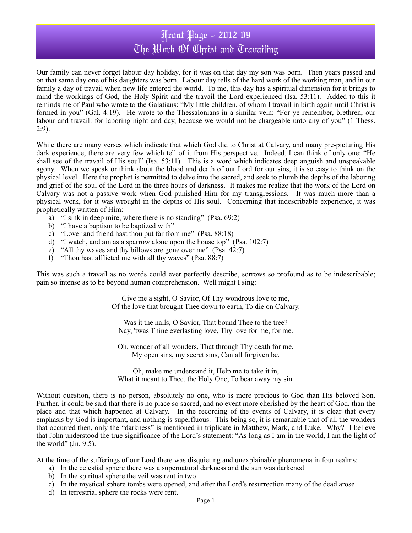# Front Page - 2012 09 The Work Of Christ and Travailing

Our family can never forget labour day holiday, for it was on that day my son was born. Then years passed and on that same day one of his daughters was born. Labour day tells of the hard work of the working man, and in our family a day of travail when new life entered the world. To me, this day has a spiritual dimension for it brings to mind the workings of God, the Holy Spirit and the travail the Lord experienced (Isa. 53:11). Added to this it reminds me of Paul who wrote to the Galatians: "My little children, of whom I travail in birth again until Christ is formed in you" (Gal. 4:19). He wrote to the Thessalonians in a similar vein: "For ye remember, brethren, our labour and travail: for laboring night and day, because we would not be chargeable unto any of you" (1 Thess. 2:9).

While there are many verses which indicate that which God did to Christ at Calvary, and many pre-picturing His dark experience, there are very few which tell of it from His perspective. Indeed, I can think of only one: "He shall see of the travail of His soul" (Isa. 53:11). This is a word which indicates deep anguish and unspeakable agony. When we speak or think about the blood and death of our Lord for our sins, it is so easy to think on the physical level. Here the prophet is permitted to delve into the sacred, and seek to plumb the depths of the laboring and grief of the soul of the Lord in the three hours of darkness. It makes me realize that the work of the Lord on Calvary was not a passive work when God punished Him for my transgressions. It was much more than a physical work, for it was wrought in the depths of His soul. Concerning that indescribable experience, it was prophetically written of Him:

- a) "I sink in deep mire, where there is no standing" (Psa. 69:2)
- b) "I have a baptism to be baptized with"
- c) "Lover and friend hast thou put far from me" (Psa. 88:18)
- d) "I watch, and am as a sparrow alone upon the house top" (Psa. 102:7)
- e) "All thy waves and thy billows are gone over me" (Psa. 42:7)
- f) "Thou hast afflicted me with all thy waves" (Psa. 88:7)

This was such a travail as no words could ever perfectly describe, sorrows so profound as to be indescribable; pain so intense as to be beyond human comprehension. Well might I sing:

> Give me a sight, O Savior, Of Thy wondrous love to me, Of the love that brought Thee down to earth, To die on Calvary.

Was it the nails, O Savior, That bound Thee to the tree? Nay, 'twas Thine everlasting love, Thy love for me, for me.

Oh, wonder of all wonders, That through Thy death for me, My open sins, my secret sins, Can all forgiven be.

Oh, make me understand it, Help me to take it in, What it meant to Thee, the Holy One, To bear away my sin.

Without question, there is no person, absolutely no one, who is more precious to God than His beloved Son. Further, it could be said that there is no place so sacred, and no event more cherished by the heart of God, than the place and that which happened at Calvary. In the recording of the events of Calvary, it is clear that every emphasis by God is important, and nothing is superfluous. This being so, it is remarkable that of all the wonders that occurred then, only the "darkness" is mentioned in triplicate in Matthew, Mark, and Luke. Why? I believe that John understood the true significance of the Lord's statement: "As long as I am in the world, I am the light of the world" (Jn. 9:5).

At the time of the sufferings of our Lord there was disquieting and unexplainable phenomena in four realms:

- a) In the celestial sphere there was a supernatural darkness and the sun was darkened
- b) In the spiritual sphere the veil was rent in two
- c) In the mystical sphere tombs were opened, and after the Lord's resurrection many of the dead arose
- d) In terrestrial sphere the rocks were rent.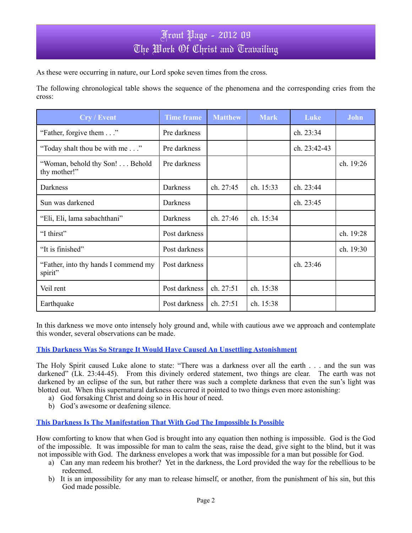As these were occurring in nature, our Lord spoke seven times from the cross.

The following chronological table shows the sequence of the phenomena and the corresponding cries from the cross:

| <b>Cry / Event</b>                              | <b>Time frame</b> | <b>Matthew</b> | <b>Mark</b> | Luke         | John      |
|-------------------------------------------------|-------------------|----------------|-------------|--------------|-----------|
| "Father, forgive them"                          | Pre darkness      |                |             | ch. 23:34    |           |
| "Today shalt thou be with me"                   | Pre darkness      |                |             | ch. 23:42-43 |           |
| "Woman, behold thy Son! Behold<br>thy mother!"  | Pre darkness      |                |             |              | ch. 19:26 |
| Darkness                                        | Darkness          | ch. 27:45      | ch. 15:33   | ch. 23:44    |           |
| Sun was darkened                                | Darkness          |                |             | ch. 23:45    |           |
| "Eli, Eli, lama sabachthani"                    | Darkness          | ch. 27:46      | ch. 15:34   |              |           |
| "I thirst"                                      | Post darkness     |                |             |              | ch. 19:28 |
| "It is finished"                                | Post darkness     |                |             |              | ch. 19:30 |
| "Father, into thy hands I commend my<br>spirit" | Post darkness     |                |             | ch. 23:46    |           |
| Veil rent                                       | Post darkness     | ch. 27:51      | ch. 15:38   |              |           |
| Earthquake                                      | Post darkness     | ch. 27:51      | ch. 15:38   |              |           |

In this darkness we move onto intensely holy ground and, while with cautious awe we approach and contemplate this wonder, several observations can be made.

**This Darkness Was So Strange It Would Have Caused An Unsettling Astonishment**

The Holy Spirit caused Luke alone to state: "There was a darkness over all the earth . . . and the sun was darkened" (Lk. 23:44-45). From this divinely ordered statement, two things are clear. The earth was not darkened by an eclipse of the sun, but rather there was such a complete darkness that even the sun's light was blotted out. When this supernatural darkness occurred it pointed to two things even more astonishing:

- a) God forsaking Christ and doing so in His hour of need.
- b) God's awesome or deafening silence.

**This Darkness Is The Manifestation That With God The Impossible Is Possible**

How comforting to know that when God is brought into any equation then nothing is impossible. God is the God of the impossible. It was impossible for man to calm the seas, raise the dead, give sight to the blind, but it was not impossible with God. The darkness envelopes a work that was impossible for a man but possible for God.

- a) Can any man redeem his brother? Yet in the darkness, the Lord provided the way for the rebellious to be redeemed.
- b) It is an impossibility for any man to release himself, or another, from the punishment of his sin, but this God made possible.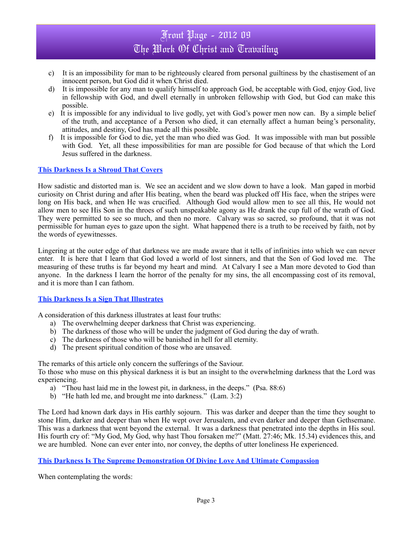# Front Page - 2012 09 The Work Of Christ and Travailing

- c) It is an impossibility for man to be righteously cleared from personal guiltiness by the chastisement of an innocent person, but God did it when Christ died.
- d) It is impossible for any man to qualify himself to approach God, be acceptable with God, enjoy God, live in fellowship with God, and dwell eternally in unbroken fellowship with God, but God can make this possible.
- e) It is impossible for any individual to live godly, yet with God's power men now can. By a simple belief of the truth, and acceptance of a Person who died, it can eternally affect a human being's personality, attitudes, and destiny, God has made all this possible.
- f) It is impossible for God to die, yet the man who died was God. It was impossible with man but possible with God. Yet, all these impossibilities for man are possible for God because of that which the Lord Jesus suffered in the darkness.

#### **This Darkness Is a Shroud That Covers**

How sadistic and distorted man is. We see an accident and we slow down to have a look. Man gaped in morbid curiosity on Christ during and after His beating, when the beard was plucked off His face, when the stripes were long on His back, and when He was crucified. Although God would allow men to see all this, He would not allow men to see His Son in the throes of such unspeakable agony as He drank the cup full of the wrath of God. They were permitted to see so much, and then no more. Calvary was so sacred, so profound, that it was not permissible for human eyes to gaze upon the sight. What happened there is a truth to be received by faith, not by the words of eyewitnesses.

Lingering at the outer edge of that darkness we are made aware that it tells of infinities into which we can never enter. It is here that I learn that God loved a world of lost sinners, and that the Son of God loved me. The measuring of these truths is far beyond my heart and mind. At Calvary I see a Man more devoted to God than anyone. In the darkness I learn the horror of the penalty for my sins, the all encompassing cost of its removal, and it is more than I can fathom.

#### **This Darkness Is a Sign That Illustrates**

A consideration of this darkness illustrates at least four truths:

- a) The overwhelming deeper darkness that Christ was experiencing.
- b) The darkness of those who will be under the judgment of God during the day of wrath.
- c) The darkness of those who will be banished in hell for all eternity.
- d) The present spiritual condition of those who are unsaved.

The remarks of this article only concern the sufferings of the Saviour.

To those who muse on this physical darkness it is but an insight to the overwhelming darkness that the Lord was experiencing.

- a) "Thou hast laid me in the lowest pit, in darkness, in the deeps." (Psa. 88:6)
- b) "He hath led me, and brought me into darkness." (Lam. 3:2)

The Lord had known dark days in His earthly sojourn. This was darker and deeper than the time they sought to stone Him, darker and deeper than when He wept over Jerusalem, and even darker and deeper than Gethsemane. This was a darkness that went beyond the external. It was a darkness that penetrated into the depths in His soul. His fourth cry of: "My God, My God, why hast Thou forsaken me?" (Matt. 27:46; Mk. 15.34) evidences this, and we are humbled. None can ever enter into, nor convey, the depths of utter loneliness He experienced.

**This Darkness Is The Supreme Demonstration Of Divine Love And Ultimate Compassion**

When contemplating the words: